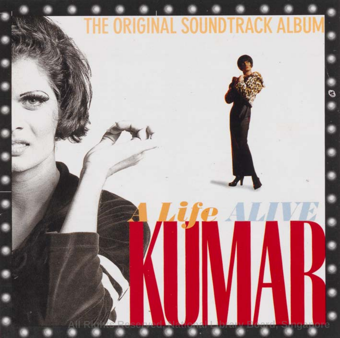# THE ORIGINAL SOUNDTRACK ALBUM

 $\pmb{\ast}$ 

**A Life ALIVE** 

A

G

KUNAK:

**All Rights Reserved, National Library Board, Singapore**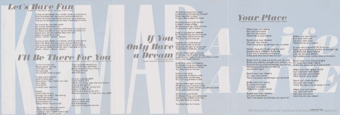# Let's Have Fun Componer Tony Hoon Musie Arranger Indra Ismall

Come on and shake your hands, come on and dance Don't be afraid, just leave your worries all behind Come on shake your hands, come on up and dance The sun will shine tomorrow, take it one step at a time

It's time to let your hair down It's time to dance around Forget about your sorrows, we'll never let you down So bring yourself on over, we promise you some fun Leave your worries behind, this is the time Learn to laugh at yourself Boom... Boom... Boom... Boom...

Come on and shake your hands, come on and dance Don't be afraid, just leave your worries all behind Come on shake your hands, come on up and dance The sun will shine tomorrow, take it one step at a time Boom... Boom... Boom... Boom...

# I'll Be There For You Lyries by The Rembrandts Adapted by Jimmy Ye for Kumar

So no one told you NS gonna be this way Your hair's a joke You're broke Your buddy looks so gay!

It's like you're always stuck in army gear And when it hasn't been your day Your week Your month or even your year, but...

**Chorus** I'll be there for you Though you're blur like sotong Gua si li peng you Si beh idle, some more Kau la kawan ku Keng and bo-chap is cool!

You're stuck inside your trench You're just mosquito bait You've burned 3 weekends so far Guard duty's not so great!

Your corporal warned you There'd be days like these But he doesn't tell you when You'll be set free and ROD, but...

No one could like BMT Don't want to IPPT Seems you're the only one who knows to keng and get MC Someone to drop twenty with Make it to MDC with Someone to kiwi boots with Even at my worst, I'm best with you, yeah!

> I'll be there for you Gua si li peng you Kua la kawan ku Cos you're there for me too!

Where do we go from here? Does everything have to change? Must I play this number? Cause nothing stays the same

Promises meant to be broken It doesn't mean a thing Where would I go, what do I see If you haven't got a dream

If You Hold on to what you believe It's the last thing, you wanna lose There'll be a better tomorrow You only have to choose

Only Have Friends may come and go They don't seem to share Have you thought for a moment That I need somebody to care

**and the Composer Tony Hoon If you, you must be at the start of the Composer Tony Hoon** left you, you must be at the strike the strike of the composer Tony Hoon If you only have a dream Tell me what's right or wrong I'll tell you, you must be strong Listen to your heart, it'll tell you where to start

> Hold on to what you believe It's the last thing, you wanna lose There'll be a better tomorrow You only have to choose

Music Arranger Eduardo Ramoso

Listen to my song I've learned this lesson well Nothing ever comes easy But I've hung in there to tell

Tell me what's right or wrong I'll tell you, you must be strong Listen to your heart, it'll tell you where to start If you only have a dream

Hold on to your dream It's the last thing, you wanna lose There'll be a better tomorrow You only have to choose

You only have to choose

# **Your Place**  Conposer Lim Yu-Beng.Musie Arranger Indra Ismail

Make your own space Run your own race Set your own pace Welcome to your place!

Reach your own dreams On your own steam That's the place we all hope we can find!

What's the point of denying the fact? Everybody is different, that's that If you live to be everyone's fool In the end what becomes of you?

Better stick to what you know you do well Better stay with the people who will tell you If you're trying to be something you're not Showing everybody something you haven't got!

Reach your own dreams On your own steam That's the place we all hope we can find!

Make your own space Run your own race Set your own pace Welcome to your place!

Reach your own dreams On your own steam That's the place we all hope we can find! Make your own space Run your own race Set your own pace Welcome to your place!

In your own place it's OK if you cry Nothing wrong if you are low or you get high But that's the place where you can be your dream But nothing ever comes easy as it seems

Reach your own dreams (fight) On your own steam (fight) That's the place we all hope to find!

Make your own space (fight) Run your own race (fight) Set your own pace (fight) Welcome to your place!

Reach your own dreams On your own steam That's the place we all hope to find!

Make your own space Run your own race Set your own pace Welcome to your place!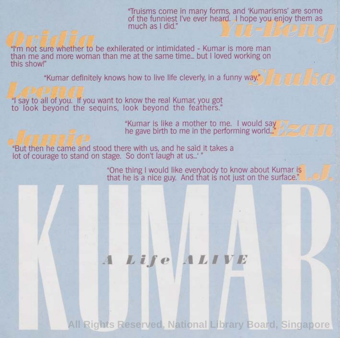'Truisms come in many forms, **and 'Kumarisms' are** some of the funniest I've ever heard, I hope you enjov them as

"I'm not sure whether to be exhilerated or intimidated - Kumar is more man than me and more woman than me at the same time... but I loved working on this show!"

"Kumar definitely knows how to live life cleverly, in a funny way."

"I say to all of you. If you want to know the real Kumar, you got to look beyond the sequins, look beyond the feathers."

"Kumar is like a mother to me. I would say<br>he gave birth to me in the performing world..."

"But then he came and stood there with us, and he said it takes a lot of courage to stand on stage. So don't laugh at us...'"

> "One thing I would like everybody to know about Kumar is that he is a nice guy. And that is not just on the surface."

# **<sup>A</sup> Life ALIVE**

**All Rights Reserved, National Library Board, Singapore**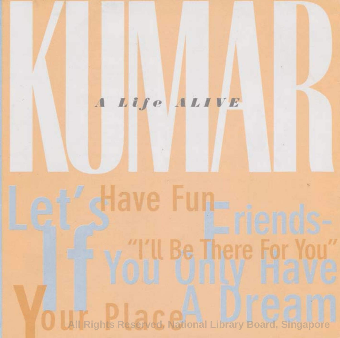# **A Lif e ALIVE Lettave Fun-Friends-"I'll Be There For You" If You Only Have All Rights Reserved, National Library Board, Singapore**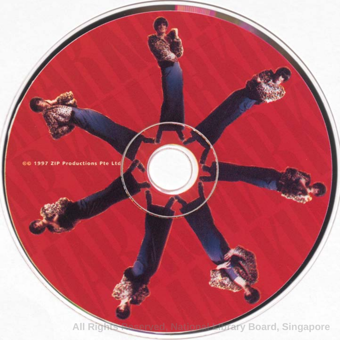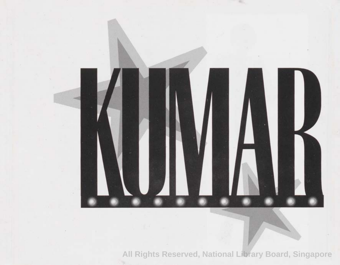

**All Rights Reserved, National Library Board, Singapore**